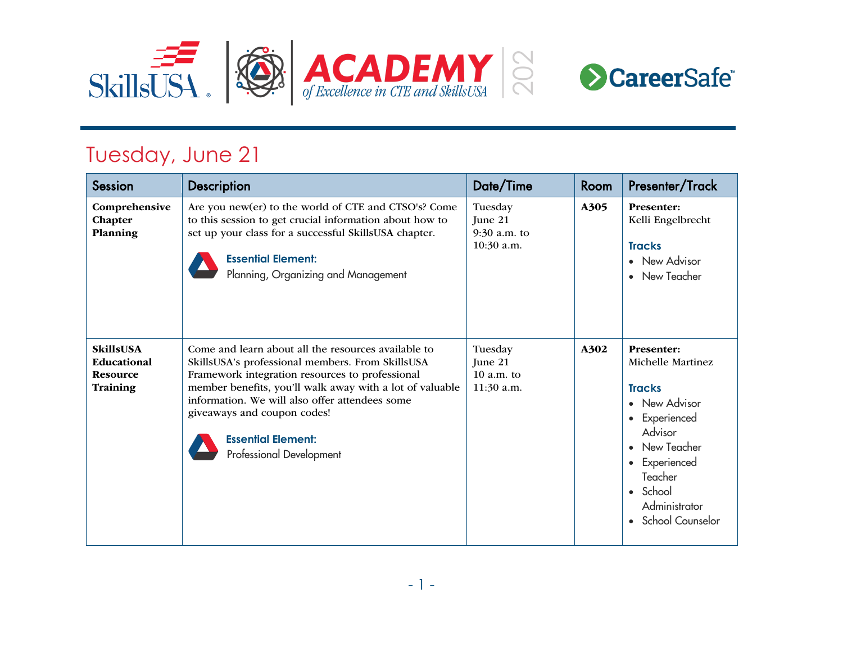

## Tuesday, June 21

| <b>Session</b>                                                 | <b>Description</b>                                                                                                                                                                                                                                                                                                                                               | Date/Time                                          | Room | Presenter/Track                                                                                                                                                                                                                                                        |
|----------------------------------------------------------------|------------------------------------------------------------------------------------------------------------------------------------------------------------------------------------------------------------------------------------------------------------------------------------------------------------------------------------------------------------------|----------------------------------------------------|------|------------------------------------------------------------------------------------------------------------------------------------------------------------------------------------------------------------------------------------------------------------------------|
| Comprehensive<br>Chapter<br>Planning                           | Are you new(er) to the world of CTE and CTSO's? Come<br>to this session to get crucial information about how to<br>set up your class for a successful SkillsUSA chapter.<br><b>Essential Element:</b><br>Planning, Organizing and Management                                                                                                                     | Tuesday<br>June 21<br>$9:30$ a.m. to<br>10:30 a.m. | A305 | <b>Presenter:</b><br>Kelli Engelbrecht<br><b>Tracks</b><br>New Advisor<br>New Teacher<br>$\bullet$                                                                                                                                                                     |
| <b>SkillsUSA</b><br>Educational<br><b>Resource</b><br>Training | Come and learn about all the resources available to<br>SkillsUSA's professional members. From SkillsUSA<br>Framework integration resources to professional<br>member benefits, you'll walk away with a lot of valuable<br>information. We will also offer attendees some<br>giveaways and coupon codes!<br><b>Essential Element:</b><br>Professional Development | Tuesday<br>Tune 21<br>$10$ a.m. to<br>11:30 a.m.   | A302 | <b>Presenter:</b><br>Michelle Martinez<br><b>Tracks</b><br>New Advisor<br>$\bullet$<br>Experienced<br>$\bullet$<br>Advisor<br>New Teacher<br>$\bullet$<br>Experienced<br>$\bullet$<br>Teacher<br>School<br>$\bullet$<br>Administrator<br>School Counselor<br>$\bullet$ |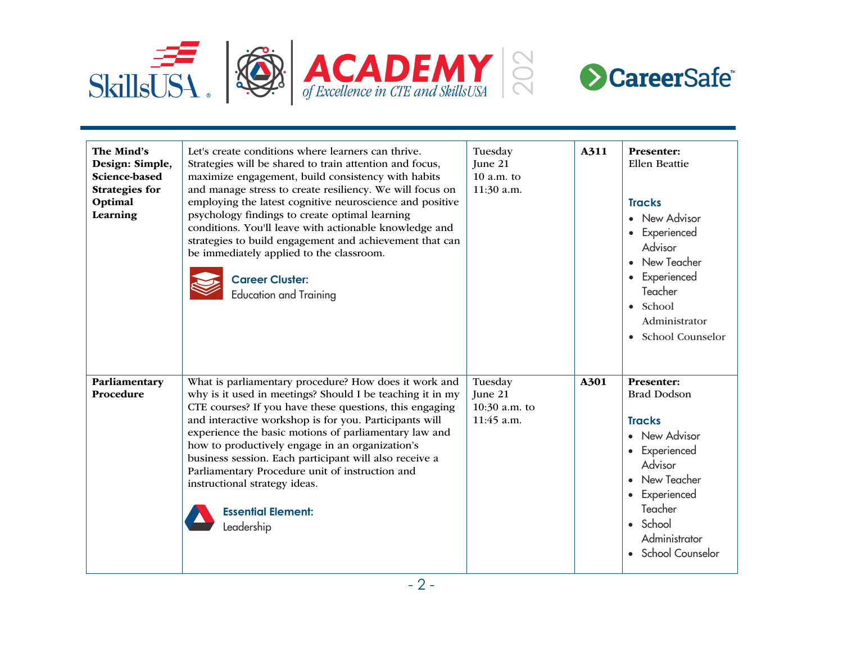



| The Mind's<br>Design: Simple,<br>Science-based<br><b>Strategies for</b><br>Optimal<br>Learning | Let's create conditions where learners can thrive.<br>Strategies will be shared to train attention and focus,<br>maximize engagement, build consistency with habits<br>and manage stress to create resiliency. We will focus on<br>employing the latest cognitive neuroscience and positive<br>psychology findings to create optimal learning<br>conditions. You'll leave with actionable knowledge and<br>strategies to build engagement and achievement that can<br>be immediately applied to the classroom.<br><b>Career Cluster:</b><br><b>Education and Training</b> | Tuesday<br>June 21<br>$10 a.m.$ to<br>11:30 a.m.  | A311 | <b>Presenter:</b><br><b>Ellen Beattie</b><br><b>Tracks</b><br>• New Advisor<br>• Experienced<br>Advisor<br>• New Teacher<br>• Experienced<br>Teacher<br>$\bullet$ School<br>Administrator<br>• School Counselor |
|------------------------------------------------------------------------------------------------|---------------------------------------------------------------------------------------------------------------------------------------------------------------------------------------------------------------------------------------------------------------------------------------------------------------------------------------------------------------------------------------------------------------------------------------------------------------------------------------------------------------------------------------------------------------------------|---------------------------------------------------|------|-----------------------------------------------------------------------------------------------------------------------------------------------------------------------------------------------------------------|
| Parliamentary<br>Procedure                                                                     | What is parliamentary procedure? How does it work and<br>why is it used in meetings? Should I be teaching it in my<br>CTE courses? If you have these questions, this engaging<br>and interactive workshop is for you. Participants will<br>experience the basic motions of parliamentary law and<br>how to productively engage in an organization's<br>business session. Each participant will also receive a<br>Parliamentary Procedure unit of instruction and<br>instructional strategy ideas.<br><b>Essential Element:</b><br>Leadership                              | Tuesday<br>June 21<br>10:30 a.m. to<br>11:45 a.m. | A301 | Presenter:<br><b>Brad Dodson</b><br><b>Tracks</b><br>• New Advisor<br>• Experienced<br>Advisor<br>• New Teacher<br>• Experienced<br>Teacher<br>• School<br>Administrator<br>School Counselor                    |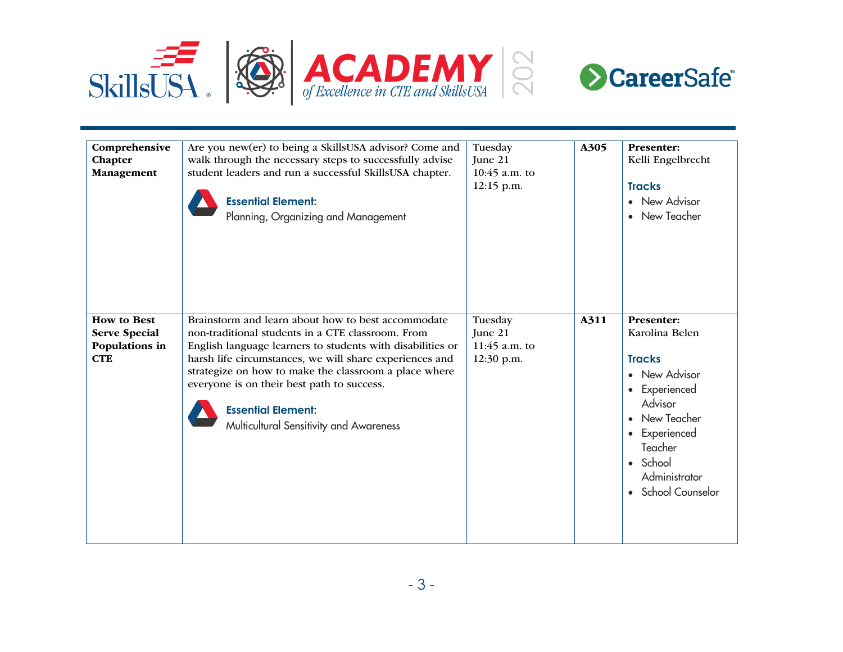



| Comprehensive<br>Chapter<br>Management                                     | Are you new(er) to being a SkillsUSA advisor? Come and<br>walk through the necessary steps to successfully advise<br>student leaders and run a successful SkillsUSA chapter.<br><b>Essential Element:</b><br>Planning, Organizing and Management                                                                                                                                                                | Tuesday<br>June 21<br>$10:45$ a.m. to<br>12:15 p.m. | A305 | <b>Presenter:</b><br>Kelli Engelbrecht<br><b>Tracks</b><br>• New Advisor<br>New Teacher                                                                                                  |
|----------------------------------------------------------------------------|-----------------------------------------------------------------------------------------------------------------------------------------------------------------------------------------------------------------------------------------------------------------------------------------------------------------------------------------------------------------------------------------------------------------|-----------------------------------------------------|------|------------------------------------------------------------------------------------------------------------------------------------------------------------------------------------------|
| <b>How to Best</b><br><b>Serve Special</b><br>Populations in<br><b>CTE</b> | Brainstorm and learn about how to best accommodate<br>non-traditional students in a CTE classroom. From<br>English language learners to students with disabilities or<br>harsh life circumstances, we will share experiences and<br>strategize on how to make the classroom a place where<br>everyone is on their best path to success.<br><b>Essential Element:</b><br>Multicultural Sensitivity and Awareness | Tuesday<br>June 21<br>$11:45$ a.m. to<br>12:30 p.m. | A311 | Presenter:<br>Karolina Belen<br><b>Tracks</b><br>• New Advisor<br>• Experienced<br>Advisor<br>New Teacher<br>• Experienced<br>Teacher<br>• School<br>Administrator<br>• School Counselor |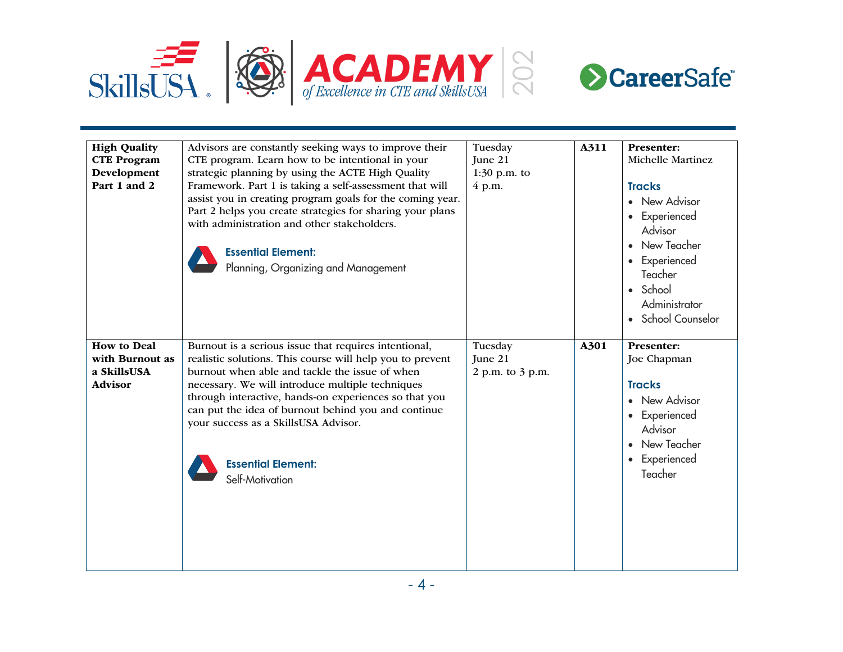



| <b>High Quality</b><br><b>CTE Program</b><br>Development<br>Part 1 and 2 | Advisors are constantly seeking ways to improve their<br>CTE program. Learn how to be intentional in your<br>strategic planning by using the ACTE High Quality<br>Framework. Part 1 is taking a self-assessment that will<br>assist you in creating program goals for the coming year.<br>Part 2 helps you create strategies for sharing your plans<br>with administration and other stakeholders.<br><b>Essential Element:</b><br>Planning, Organizing and Management | Tuesday<br>June 21<br>$1:30$ p.m. to<br>4 p.m. | A311 | <b>Presenter:</b><br>Michelle Martinez<br><b>Tracks</b><br>• New Advisor<br>• Experienced<br>Advisor<br>• New Teacher<br>• Experienced<br>Teacher<br>• School<br>Administrator<br>• School Counselor |
|--------------------------------------------------------------------------|------------------------------------------------------------------------------------------------------------------------------------------------------------------------------------------------------------------------------------------------------------------------------------------------------------------------------------------------------------------------------------------------------------------------------------------------------------------------|------------------------------------------------|------|------------------------------------------------------------------------------------------------------------------------------------------------------------------------------------------------------|
| <b>How to Deal</b><br>with Burnout as<br>a SkillsUSA<br><b>Advisor</b>   | Burnout is a serious issue that requires intentional,<br>realistic solutions. This course will help you to prevent<br>burnout when able and tackle the issue of when<br>necessary. We will introduce multiple techniques<br>through interactive, hands-on experiences so that you<br>can put the idea of burnout behind you and continue<br>your success as a SkillsUSA Advisor.<br><b>Essential Element:</b><br>Self-Motivation                                       | Tuesday<br>June 21<br>2 p.m. to 3 p.m.         | A301 | <b>Presenter:</b><br>Joe Chapman<br><b>Tracks</b><br>• New Advisor<br>• Experienced<br>Advisor<br>• New Teacher<br>• Experienced<br>Teacher                                                          |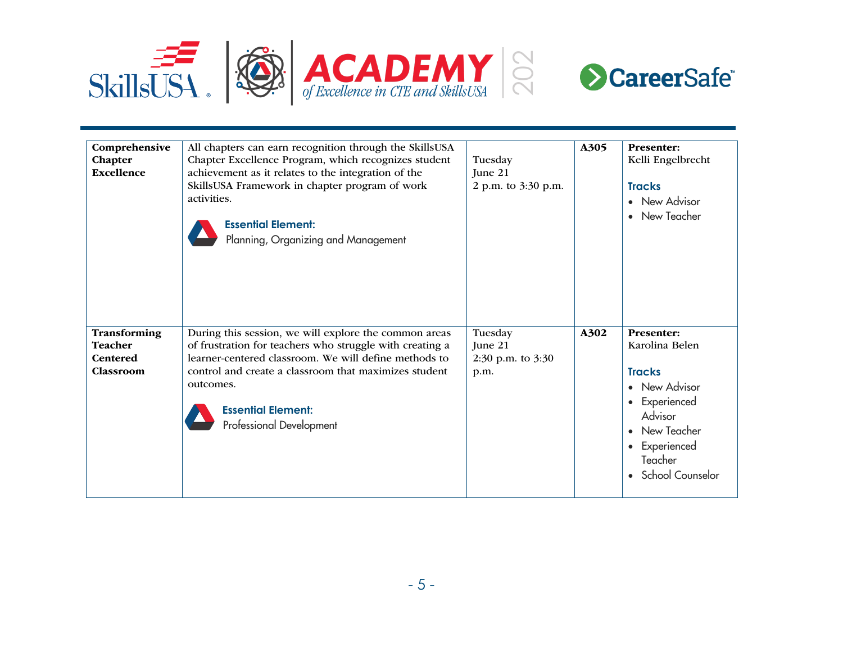



| Comprehensive<br>Chapter<br><b>Excellence</b>                  | All chapters can earn recognition through the SkillsUSA<br>Chapter Excellence Program, which recognizes student<br>achievement as it relates to the integration of the<br>SkillsUSA Framework in chapter program of work<br>activities.<br><b>Essential Element:</b><br>Planning, Organizing and Management | Tuesday<br>June 21<br>2 p.m. to 3:30 p.m.         | A305 | <b>Presenter:</b><br>Kelli Engelbrecht<br><b>Tracks</b><br>• New Advisor<br>New Teacher                                                                                                |
|----------------------------------------------------------------|-------------------------------------------------------------------------------------------------------------------------------------------------------------------------------------------------------------------------------------------------------------------------------------------------------------|---------------------------------------------------|------|----------------------------------------------------------------------------------------------------------------------------------------------------------------------------------------|
| Transforming<br><b>Teacher</b><br><b>Centered</b><br>Classroom | During this session, we will explore the common areas<br>of frustration for teachers who struggle with creating a<br>learner-centered classroom. We will define methods to<br>control and create a classroom that maximizes student<br>outcomes.<br><b>Essential Element:</b><br>Professional Development   | Tuesday<br>June 21<br>2:30 p.m. to $3:30$<br>p.m. | A302 | <b>Presenter:</b><br>Karolina Belen<br><b>Tracks</b><br>• New Advisor<br>Experienced<br>$\bullet$<br>Advisor<br>New Teacher<br>Experienced<br>$\bullet$<br>Teacher<br>School Counselor |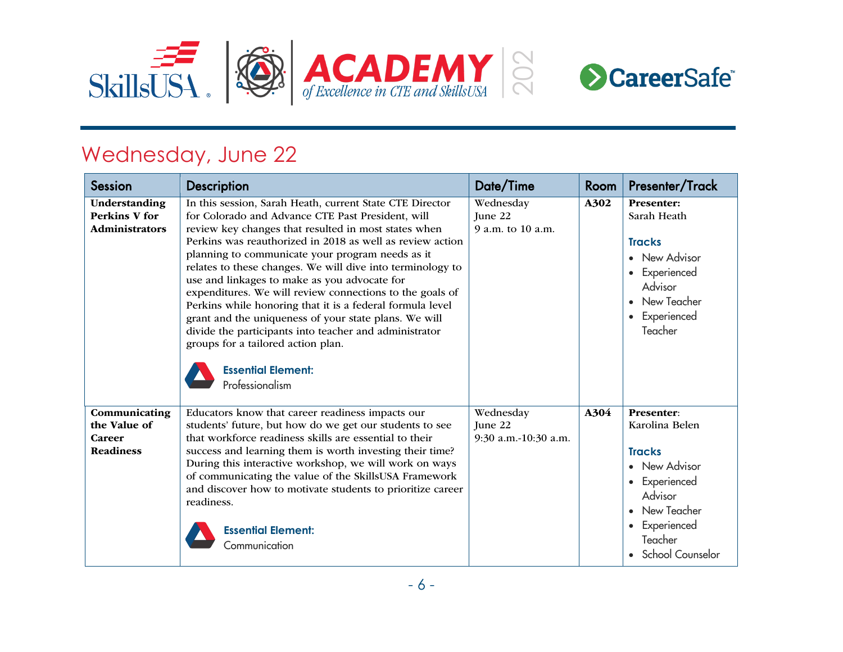

## Wednesday, June 22

| <b>Session</b>                                              | <b>Description</b>                                                                                                                                                                                                                                                                                                                                                                                                                                                                                                                                                                                                                                                                                                                     | Date/Time                                    | Room | Presenter/Track                                                                                                                                            |
|-------------------------------------------------------------|----------------------------------------------------------------------------------------------------------------------------------------------------------------------------------------------------------------------------------------------------------------------------------------------------------------------------------------------------------------------------------------------------------------------------------------------------------------------------------------------------------------------------------------------------------------------------------------------------------------------------------------------------------------------------------------------------------------------------------------|----------------------------------------------|------|------------------------------------------------------------------------------------------------------------------------------------------------------------|
| Understanding<br><b>Perkins V for</b><br>Administrators     | In this session, Sarah Heath, current State CTE Director<br>for Colorado and Advance CTE Past President, will<br>review key changes that resulted in most states when<br>Perkins was reauthorized in 2018 as well as review action<br>planning to communicate your program needs as it<br>relates to these changes. We will dive into terminology to<br>use and linkages to make as you advocate for<br>expenditures. We will review connections to the goals of<br>Perkins while honoring that it is a federal formula level<br>grant and the uniqueness of your state plans. We will<br>divide the participants into teacher and administrator<br>groups for a tailored action plan.<br><b>Essential Element:</b><br>Professionalism | Wednesday<br>June 22<br>9 a.m. to 10 a.m.    | A302 | <b>Presenter:</b><br>Sarah Heath<br><b>Tracks</b><br>New Advisor<br>Experienced<br>Advisor<br>New Teacher<br>Experienced<br>Teacher                        |
| Communicating<br>the Value of<br>Career<br><b>Readiness</b> | Educators know that career readiness impacts our<br>students' future, but how do we get our students to see<br>that workforce readiness skills are essential to their<br>success and learning them is worth investing their time?<br>During this interactive workshop, we will work on ways<br>of communicating the value of the SkillsUSA Framework<br>and discover how to motivate students to prioritize career<br>readiness.<br><b>Essential Element:</b><br>Communication                                                                                                                                                                                                                                                         | Wednesday<br>June 22<br>9:30 a.m.-10:30 a.m. | A304 | Presenter:<br>Karolina Belen<br><b>Tracks</b><br>New Advisor<br>Experienced<br>Advisor<br>New Teacher<br>Experienced<br>Teacher<br><b>School Counselor</b> |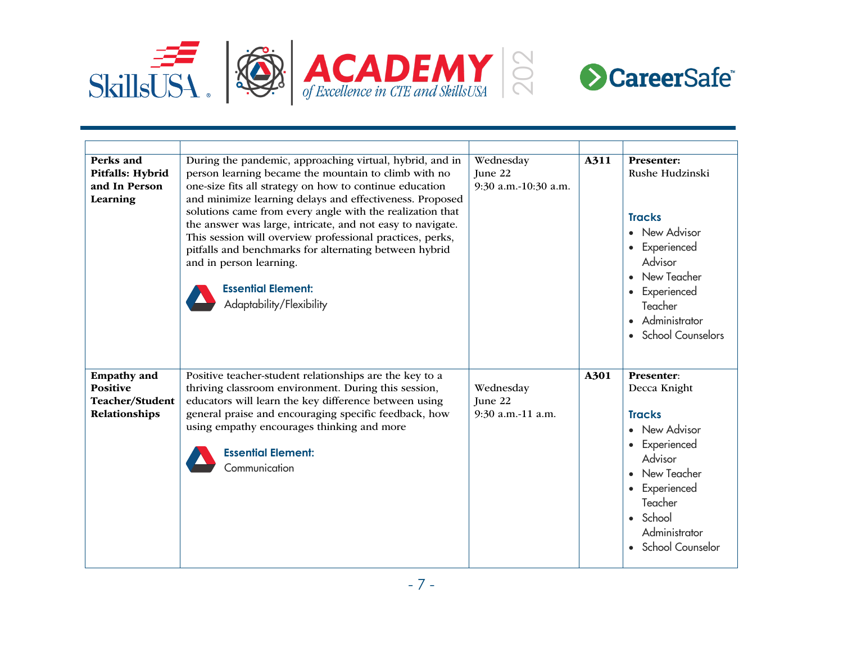



| Perks and<br>Pitfalls: Hybrid<br>and In Person<br>Learning                | During the pandemic, approaching virtual, hybrid, and in<br>person learning became the mountain to climb with no<br>one-size fits all strategy on how to continue education<br>and minimize learning delays and effectiveness. Proposed<br>solutions came from every angle with the realization that<br>the answer was large, intricate, and not easy to navigate.<br>This session will overview professional practices, perks,<br>pitfalls and benchmarks for alternating between hybrid<br>and in person learning.<br><b>Essential Element:</b><br>Adaptability/Flexibility | Wednesday<br>June 22<br>9:30 a.m.-10:30 a.m. | A311 | <b>Presenter:</b><br>Rushe Hudzinski<br><b>Tracks</b><br>• New Advisor<br>• Experienced<br>Advisor<br>• New Teacher<br>• Experienced<br>Teacher<br>• Administrator<br>• School Counselors     |
|---------------------------------------------------------------------------|-------------------------------------------------------------------------------------------------------------------------------------------------------------------------------------------------------------------------------------------------------------------------------------------------------------------------------------------------------------------------------------------------------------------------------------------------------------------------------------------------------------------------------------------------------------------------------|----------------------------------------------|------|-----------------------------------------------------------------------------------------------------------------------------------------------------------------------------------------------|
| <b>Empathy</b> and<br><b>Positive</b><br>Teacher/Student<br>Relationships | Positive teacher-student relationships are the key to a<br>thriving classroom environment. During this session,<br>educators will learn the key difference between using<br>general praise and encouraging specific feedback, how<br>using empathy encourages thinking and more<br><b>Essential Element:</b><br>Communication                                                                                                                                                                                                                                                 | Wednesday<br>June 22<br>9:30 a.m.-11 a.m.    | A301 | Presenter:<br>Decca Knight<br><b>Tracks</b><br>• New Advisor<br>• Experienced<br>Advisor<br>• New Teacher<br>• Experienced<br>Teacher<br>• School<br>Administrator<br><b>School Counselor</b> |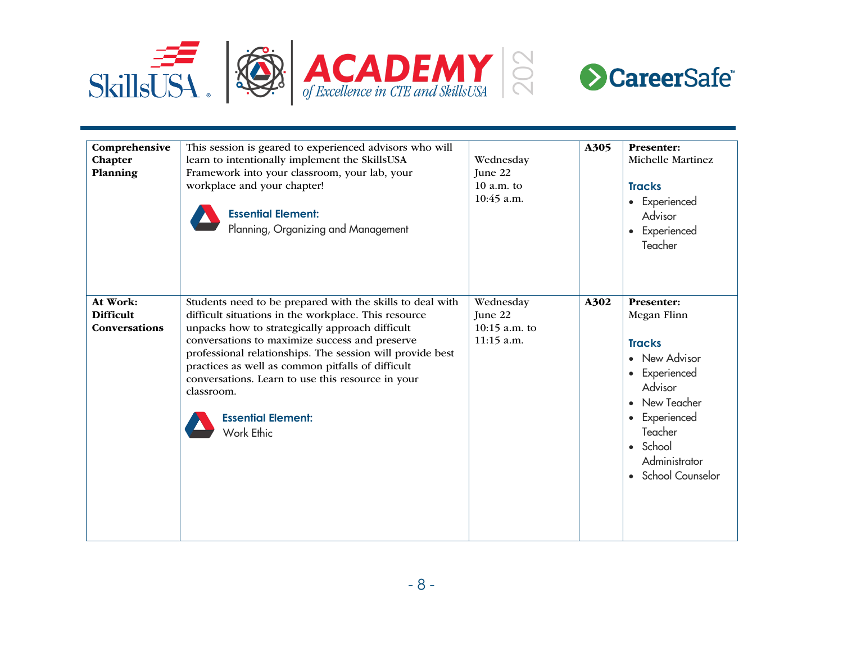



| Comprehensive<br>Chapter<br>Planning          | This session is geared to experienced advisors who will<br>learn to intentionally implement the SkillsUSA<br>Framework into your classroom, your lab, your<br>workplace and your chapter!<br><b>Essential Element:</b><br>Planning, Organizing and Management                                                                                                                                                                                          | Wednesday<br>June 22<br>$10 a.m.$ to<br>10:45 a.m.    | A305 | <b>Presenter:</b><br><b>Michelle Martinez</b><br><b>Tracks</b><br>• Experienced<br>Advisor<br>• Experienced<br>Teacher                                                                         |
|-----------------------------------------------|--------------------------------------------------------------------------------------------------------------------------------------------------------------------------------------------------------------------------------------------------------------------------------------------------------------------------------------------------------------------------------------------------------------------------------------------------------|-------------------------------------------------------|------|------------------------------------------------------------------------------------------------------------------------------------------------------------------------------------------------|
| At Work:<br><b>Difficult</b><br>Conversations | Students need to be prepared with the skills to deal with<br>difficult situations in the workplace. This resource<br>unpacks how to strategically approach difficult<br>conversations to maximize success and preserve<br>professional relationships. The session will provide best<br>practices as well as common pitfalls of difficult<br>conversations. Learn to use this resource in your<br>classroom.<br><b>Essential Element:</b><br>Work Ethic | Wednesday<br>June 22<br>10:15 a.m. to<br>$11:15$ a.m. | A302 | <b>Presenter:</b><br>Megan Flinn<br><b>Tracks</b><br>• New Advisor<br>• Experienced<br>Advisor<br>• New Teacher<br>• Experienced<br>Teacher<br>• School<br>Administrator<br>• School Counselor |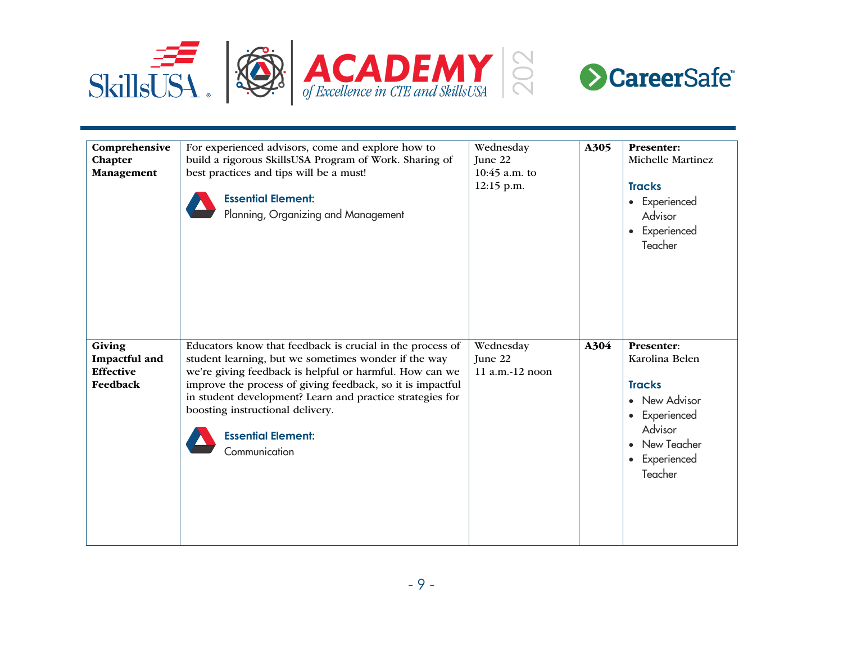



| Comprehensive<br>Chapter<br>Management                  | For experienced advisors, come and explore how to<br>build a rigorous SkillsUSA Program of Work. Sharing of<br>best practices and tips will be a must!<br><b>Essential Element:</b><br>Planning, Organizing and Management                                                                                                                                                                | Wednesday<br>June 22<br>$10:45$ a.m. to<br>12:15 p.m. | A305 | <b>Presenter:</b><br>Michelle Martinez<br><b>Tracks</b><br>• Experienced<br>Advisor<br>• Experienced<br>Teacher                         |
|---------------------------------------------------------|-------------------------------------------------------------------------------------------------------------------------------------------------------------------------------------------------------------------------------------------------------------------------------------------------------------------------------------------------------------------------------------------|-------------------------------------------------------|------|-----------------------------------------------------------------------------------------------------------------------------------------|
| Giving<br>Impactful and<br><b>Effective</b><br>Feedback | Educators know that feedback is crucial in the process of<br>student learning, but we sometimes wonder if the way<br>we're giving feedback is helpful or harmful. How can we<br>improve the process of giving feedback, so it is impactful<br>in student development? Learn and practice strategies for<br>boosting instructional delivery.<br><b>Essential Element:</b><br>Communication | Wednesday<br>June 22<br>11 a.m.-12 noon               | A304 | Presenter:<br>Karolina Belen<br><b>Tracks</b><br>• New Advisor<br>• Experienced<br>Advisor<br>• New Teacher<br>• Experienced<br>Teacher |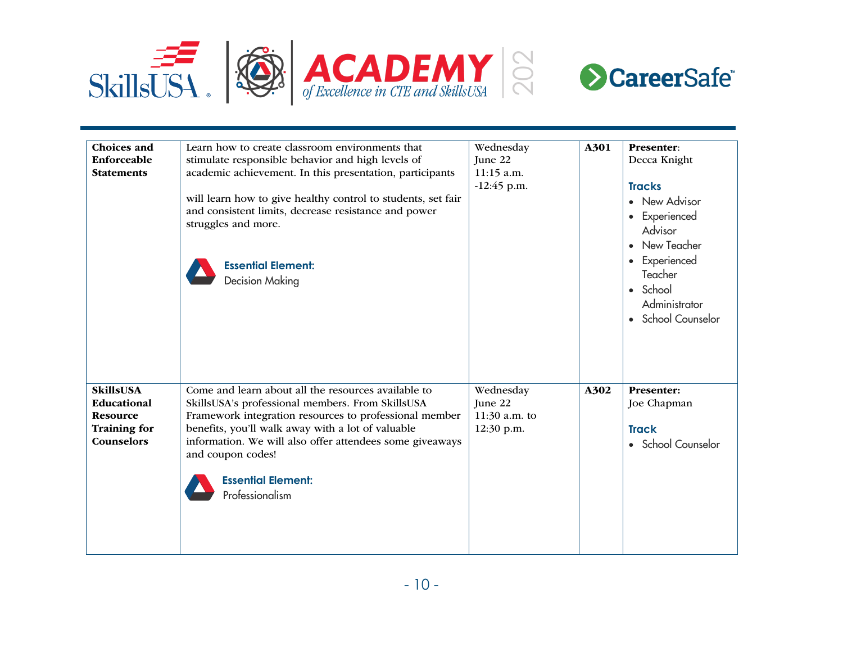



| <b>Choices</b> and<br>Enforceable<br><b>Statements</b>                                  | Learn how to create classroom environments that<br>stimulate responsible behavior and high levels of<br>academic achievement. In this presentation, participants<br>will learn how to give healthy control to students, set fair<br>and consistent limits, decrease resistance and power<br>struggles and more.<br><b>Essential Element:</b><br><b>Decision Making</b> | Wednesday<br>June 22<br>11:15 a.m.<br>$-12:45$ p.m. | A301 | Presenter:<br>Decca Knight<br><b>Tracks</b><br>• New Advisor<br>• Experienced<br>Advisor<br>New Teacher<br>• Experienced<br>Teacher<br>• School<br>Administrator<br>• School Counselor |
|-----------------------------------------------------------------------------------------|------------------------------------------------------------------------------------------------------------------------------------------------------------------------------------------------------------------------------------------------------------------------------------------------------------------------------------------------------------------------|-----------------------------------------------------|------|----------------------------------------------------------------------------------------------------------------------------------------------------------------------------------------|
| <b>SkillsUSA</b><br>Educational<br><b>Resource</b><br><b>Training for</b><br>Counselors | Come and learn about all the resources available to<br>SkillsUSA's professional members. From SkillsUSA<br>Framework integration resources to professional member<br>benefits, you'll walk away with a lot of valuable<br>information. We will also offer attendees some giveaways<br>and coupon codes!<br><b>Essential Element:</b><br>Professionalism                | Wednesday<br>June 22<br>11:30 a.m. to<br>12:30 p.m. | A302 | Presenter:<br>Joe Chapman<br><b>Track</b><br>• School Counselor                                                                                                                        |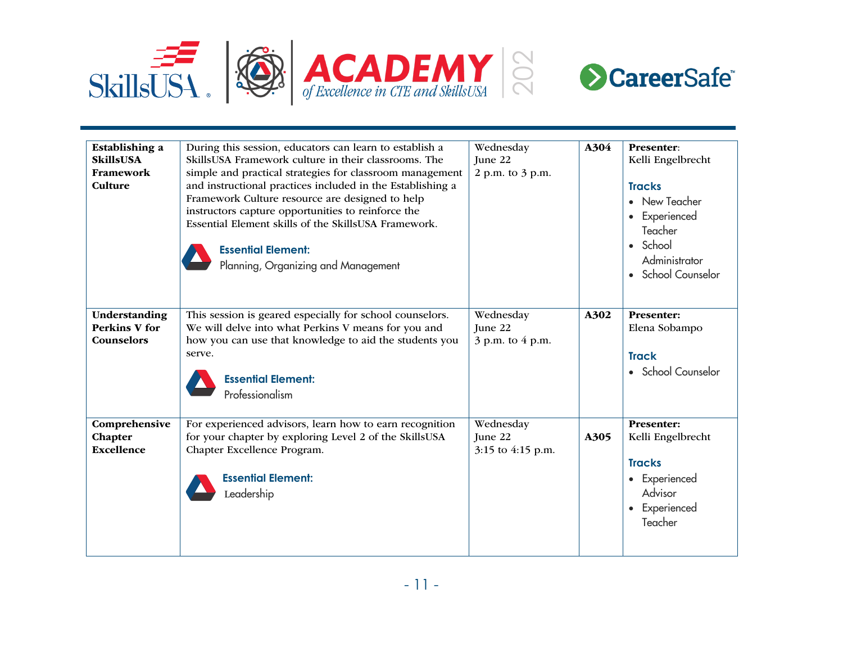



| Establishing a<br><b>SkillsUSA</b><br>Framework<br>Culture | During this session, educators can learn to establish a<br>SkillsUSA Framework culture in their classrooms. The<br>simple and practical strategies for classroom management<br>and instructional practices included in the Establishing a<br>Framework Culture resource are designed to help<br>instructors capture opportunities to reinforce the<br>Essential Element skills of the SkillsUSA Framework.<br><b>Essential Element:</b><br>Planning, Organizing and Management | Wednesday<br>June 22<br>2 p.m. to 3 p.m.  | A304 | Presenter:<br>Kelli Engelbrecht<br><b>Tracks</b><br>New Teacher<br>Experienced<br>$\bullet$<br>Teacher<br>• School<br>Administrator<br>School Counselor |
|------------------------------------------------------------|--------------------------------------------------------------------------------------------------------------------------------------------------------------------------------------------------------------------------------------------------------------------------------------------------------------------------------------------------------------------------------------------------------------------------------------------------------------------------------|-------------------------------------------|------|---------------------------------------------------------------------------------------------------------------------------------------------------------|
| Understanding<br><b>Perkins V for</b><br>Counselors        | This session is geared especially for school counselors.<br>We will delve into what Perkins V means for you and<br>how you can use that knowledge to aid the students you<br>serve.<br><b>Essential Element:</b><br>Professionalism                                                                                                                                                                                                                                            | Wednesday<br>June 22<br>3 p.m. to 4 p.m.  | A302 | <b>Presenter:</b><br>Elena Sobampo<br><b>Track</b><br>• School Counselor                                                                                |
| Comprehensive<br>Chapter<br><b>Excellence</b>              | For experienced advisors, learn how to earn recognition<br>for your chapter by exploring Level 2 of the SkillsUSA<br>Chapter Excellence Program.<br><b>Essential Element:</b><br>Leadership                                                                                                                                                                                                                                                                                    | Wednesday<br>June 22<br>3:15 to 4:15 p.m. | A305 | <b>Presenter:</b><br>Kelli Engelbrecht<br><b>Tracks</b><br>• Experienced<br>Advisor<br>Experienced<br>Teacher                                           |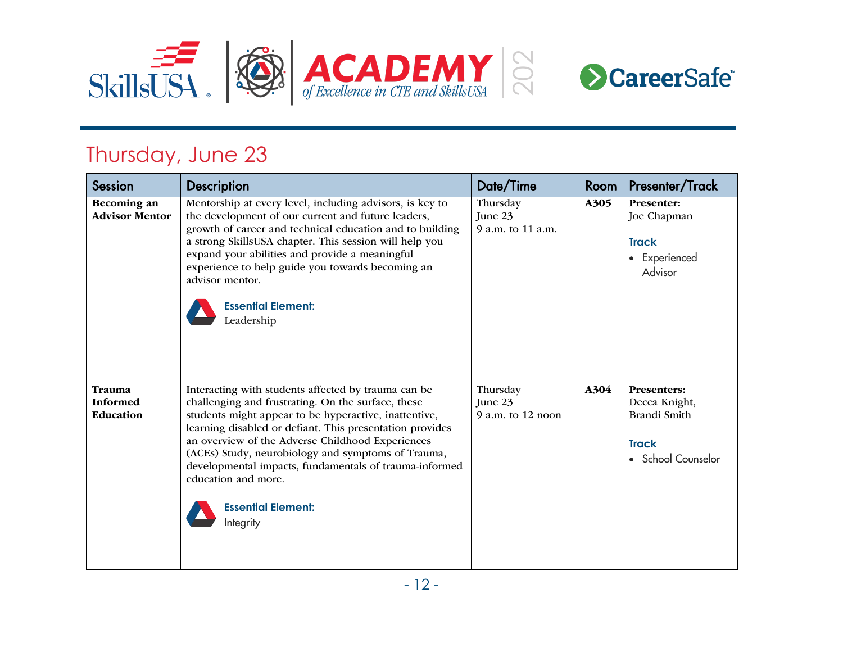

## Thursday, June 23

| <b>Session</b>                         | Description                                                                                                                                                                                                                                                                                                                                                                                                                                                         | Date/Time                                  | Room | Presenter/Track                                                                    |
|----------------------------------------|---------------------------------------------------------------------------------------------------------------------------------------------------------------------------------------------------------------------------------------------------------------------------------------------------------------------------------------------------------------------------------------------------------------------------------------------------------------------|--------------------------------------------|------|------------------------------------------------------------------------------------|
| Becoming an<br><b>Advisor Mentor</b>   | Mentorship at every level, including advisors, is key to<br>the development of our current and future leaders,<br>growth of career and technical education and to building<br>a strong SkillsUSA chapter. This session will help you<br>expand your abilities and provide a meaningful<br>experience to help guide you towards becoming an<br>advisor mentor.<br><b>Essential Element:</b><br>Leadership                                                            | Thursday<br>June 23<br>9 a.m. to 11 a.m.   | A305 | <b>Presenter:</b><br>Joe Chapman<br><b>Track</b><br>Experienced<br>٠<br>Advisor    |
| Trauma<br><b>Informed</b><br>Education | Interacting with students affected by trauma can be<br>challenging and frustrating. On the surface, these<br>students might appear to be hyperactive, inattentive,<br>learning disabled or defiant. This presentation provides<br>an overview of the Adverse Childhood Experiences<br>(ACEs) Study, neurobiology and symptoms of Trauma,<br>developmental impacts, fundamentals of trauma-informed<br>education and more.<br><b>Essential Element:</b><br>Integrity | Thursday<br>June 23<br>$9$ a.m. to 12 noon | A304 | Presenters:<br>Decca Knight,<br>Brandi Smith<br><b>Track</b><br>• School Counselor |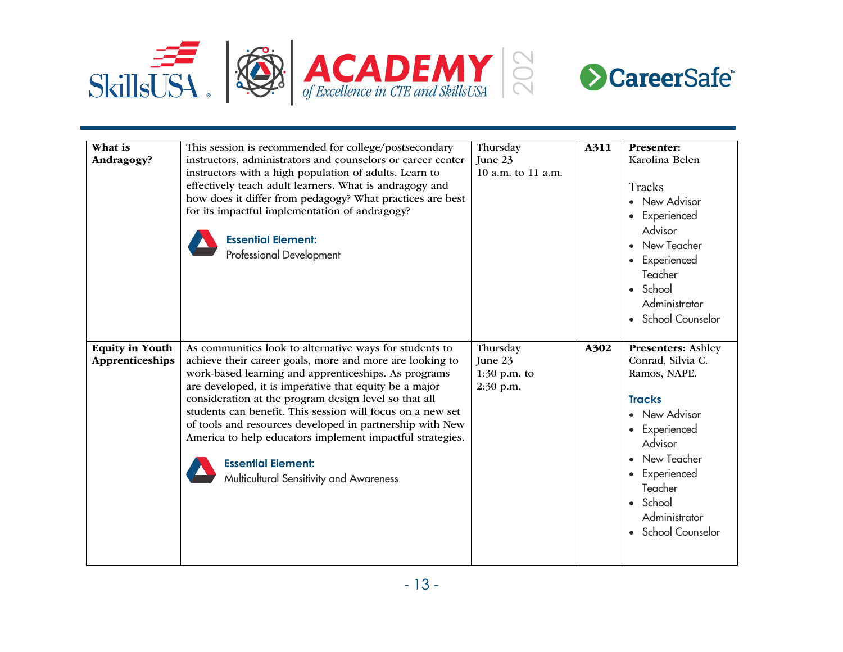



| What is<br>Andragogy?                     | This session is recommended for college/postsecondary<br>instructors, administrators and counselors or career center<br>instructors with a high population of adults. Learn to<br>effectively teach adult learners. What is andragogy and<br>how does it differ from pedagogy? What practices are best<br>for its impactful implementation of andragogy?<br><b>Essential Element:</b><br>Professional Development                                                                                                                                             | Thursday<br>June 23<br>10 a.m. to 11 a.m.          | A311 | <b>Presenter:</b><br>Karolina Belen<br>Tracks<br>• New Advisor<br>Experienced<br>Advisor<br>• New Teacher<br>Experienced<br>Teacher<br>• School<br>Administrator<br>• School Counselor                                                  |
|-------------------------------------------|---------------------------------------------------------------------------------------------------------------------------------------------------------------------------------------------------------------------------------------------------------------------------------------------------------------------------------------------------------------------------------------------------------------------------------------------------------------------------------------------------------------------------------------------------------------|----------------------------------------------------|------|-----------------------------------------------------------------------------------------------------------------------------------------------------------------------------------------------------------------------------------------|
| <b>Equity in Youth</b><br>Apprenticeships | As communities look to alternative ways for students to<br>achieve their career goals, more and more are looking to<br>work-based learning and apprenticeships. As programs<br>are developed, it is imperative that equity be a major<br>consideration at the program design level so that all<br>students can benefit. This session will focus on a new set<br>of tools and resources developed in partnership with New<br>America to help educators implement impactful strategies.<br><b>Essential Element:</b><br>Multicultural Sensitivity and Awareness | Thursday<br>June 23<br>$1:30$ p.m. to<br>2:30 p.m. | A302 | <b>Presenters: Ashley</b><br>Conrad, Silvia C.<br>Ramos, NAPE.<br><b>Tracks</b><br>• New Advisor<br>• Experienced<br>Advisor<br>• New Teacher<br>Experienced<br>$\bullet$<br>Teacher<br>• School<br>Administrator<br>• School Counselor |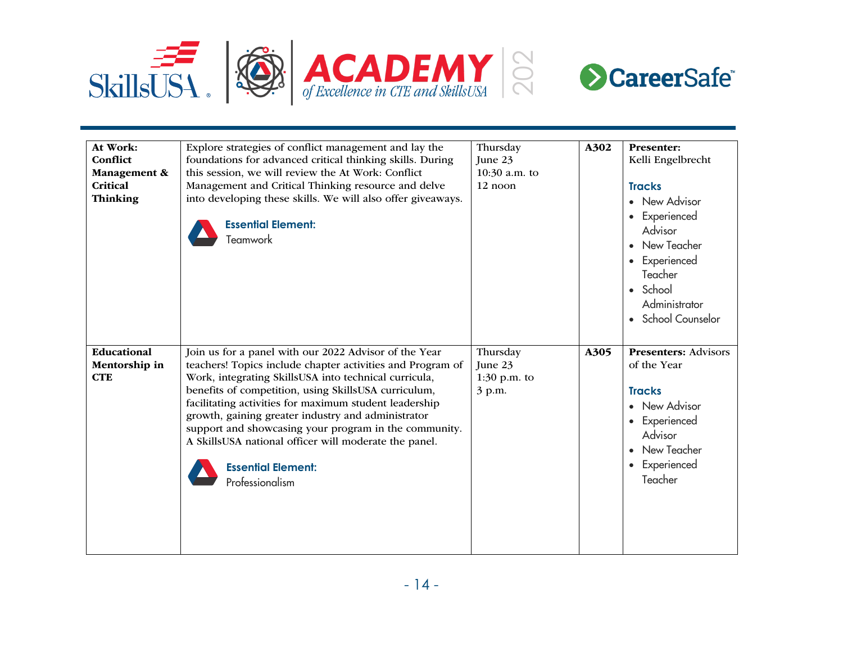



| At Work:<br>Conflict<br>Management &<br>Critical<br><b>Thinking</b> | Explore strategies of conflict management and lay the<br>foundations for advanced critical thinking skills. During<br>this session, we will review the At Work: Conflict<br>Management and Critical Thinking resource and delve<br>into developing these skills. We will also offer giveaways.<br><b>Essential Element:</b><br>Teamwork                                                                                                                                                                                | Thursday<br>June 23<br>10:30 a.m. to<br>12 noon | A302 | <b>Presenter:</b><br>Kelli Engelbrecht<br><b>Tracks</b><br>• New Advisor<br>• Experienced<br>Advisor<br>• New Teacher<br>• Experienced<br>Teacher<br>• School<br>Administrator<br>• School Counselor |
|---------------------------------------------------------------------|------------------------------------------------------------------------------------------------------------------------------------------------------------------------------------------------------------------------------------------------------------------------------------------------------------------------------------------------------------------------------------------------------------------------------------------------------------------------------------------------------------------------|-------------------------------------------------|------|------------------------------------------------------------------------------------------------------------------------------------------------------------------------------------------------------|
| Educational<br>Mentorship in<br><b>CTE</b>                          | Join us for a panel with our 2022 Advisor of the Year<br>teachers! Topics include chapter activities and Program of<br>Work, integrating SkillsUSA into technical curricula,<br>benefits of competition, using SkillsUSA curriculum,<br>facilitating activities for maximum student leadership<br>growth, gaining greater industry and administrator<br>support and showcasing your program in the community.<br>A SkillsUSA national officer will moderate the panel.<br><b>Essential Element:</b><br>Professionalism | Thursday<br>June 23<br>$1:30$ p.m. to<br>3 p.m. | A305 | <b>Presenters: Advisors</b><br>of the Year<br><b>Tracks</b><br>• New Advisor<br>• Experienced<br>Advisor<br>• New Teacher<br>• Experienced<br>Teacher                                                |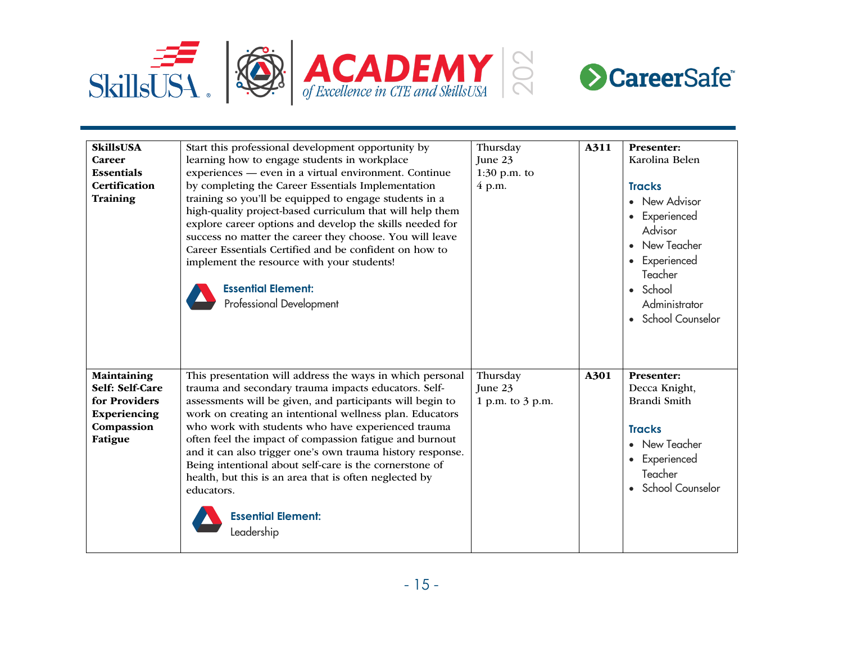



| <b>SkillsUSA</b><br><b>Career</b><br><b>Essentials</b><br><b>Certification</b><br>Training | Start this professional development opportunity by<br>learning how to engage students in workplace<br>experiences — even in a virtual environment. Continue<br>by completing the Career Essentials Implementation<br>training so you'll be equipped to engage students in a<br>high-quality project-based curriculum that will help them<br>explore career options and develop the skills needed for<br>success no matter the career they choose. You will leave<br>Career Essentials Certified and be confident on how to<br>implement the resource with your students!<br><b>Essential Element:</b><br>Professional Development | Thursday<br>June 23<br>1:30 p.m. to<br>4 p.m. | A311 | <b>Presenter:</b><br>Karolina Belen<br><b>Tracks</b><br>• New Advisor<br>• Experienced<br>Advisor<br>New Teacher<br>• Experienced<br>Teacher<br>• School<br>Administrator |
|--------------------------------------------------------------------------------------------|-----------------------------------------------------------------------------------------------------------------------------------------------------------------------------------------------------------------------------------------------------------------------------------------------------------------------------------------------------------------------------------------------------------------------------------------------------------------------------------------------------------------------------------------------------------------------------------------------------------------------------------|-----------------------------------------------|------|---------------------------------------------------------------------------------------------------------------------------------------------------------------------------|
| Maintaining<br>Self: Self-Care<br>for Providers<br>Experiencing<br>Compassion<br>Fatigue   | This presentation will address the ways in which personal<br>trauma and secondary trauma impacts educators. Self-<br>assessments will be given, and participants will begin to<br>work on creating an intentional wellness plan. Educators<br>who work with students who have experienced trauma<br>often feel the impact of compassion fatigue and burnout<br>and it can also trigger one's own trauma history response.<br>Being intentional about self-care is the cornerstone of<br>health, but this is an area that is often neglected by<br>educators.<br><b>Essential Element:</b><br>eadership.                           | Thursday<br>June 23<br>1 p.m. to 3 p.m.       | A301 | • School Counselor<br>Presenter:<br>Decca Knight,<br>Brandi Smith<br><b>Tracks</b><br>• New Teacher<br>• Experienced<br>Teacher<br>• School Counselor                     |